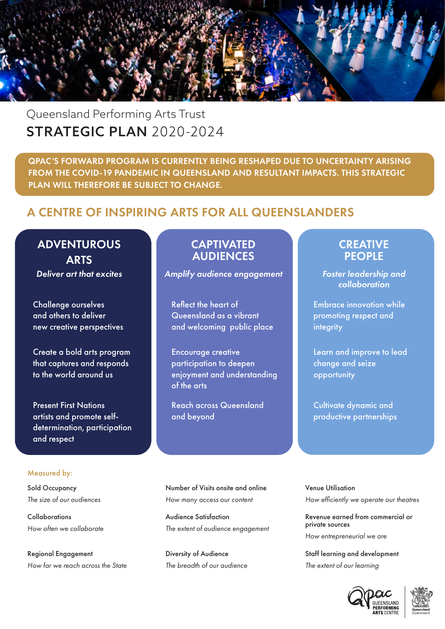

# Queensland Performing Arts Trust STRATEGIC PLAN 2020-2024

QPAC'S FORWARD PROGRAM IS CURRENTLY BEING RESHAPED DUE TO UNCERTAINTY ARISING FROM THE COVID-19 PANDEMIC IN QUEENSLAND AND RESULTANT IMPACTS. THIS STRATEGIC PLAN WILL THEREFORE BE SUBJECT TO CHANGE.

## A CENTRE OF INSPIRING ARTS FOR ALL QUEENSLANDERS

# **ADVENTUROUS ARTS**

Challenge ourselves and others to deliver new creative perspectives

Create a bold arts program that captures and responds to the world around us

Present First Nations artists and promote selfdetermination, participation and respect

### Measured by:

Sold Occupancy *The size of our audiences*

Collaborations *How often we collaborate*

Regional Engagement *How far we reach across the State*

## **CAPTIVATED** AUDIENCES

**Deliver art that excites Amplify audience engagement Foster leadership and** 

Reflect the heart of Queensland as a vibrant and welcoming public place

Encourage creative participation to deepen enjoyment and understanding of the arts

Reach across Queensland and beyond

Number of Visits onsite and online *How many access our content*

Audience Satisfaction *The extent of audience engagement*

Diversity of Audience *The breadth of our audience*

## **CREATIVE PEOPLE**

*collaboration*

Embrace innovation while promoting respect and integrity

Learn and improve to lead change and seize opportunity

Cultivate dynamic and productive partnerships

Venue Utilisation *How efficiently we operate our theatres*

Revenue earned from commercial or private sources *How entrepreneurial we are*

Staff learning and development *The extent of our learning*